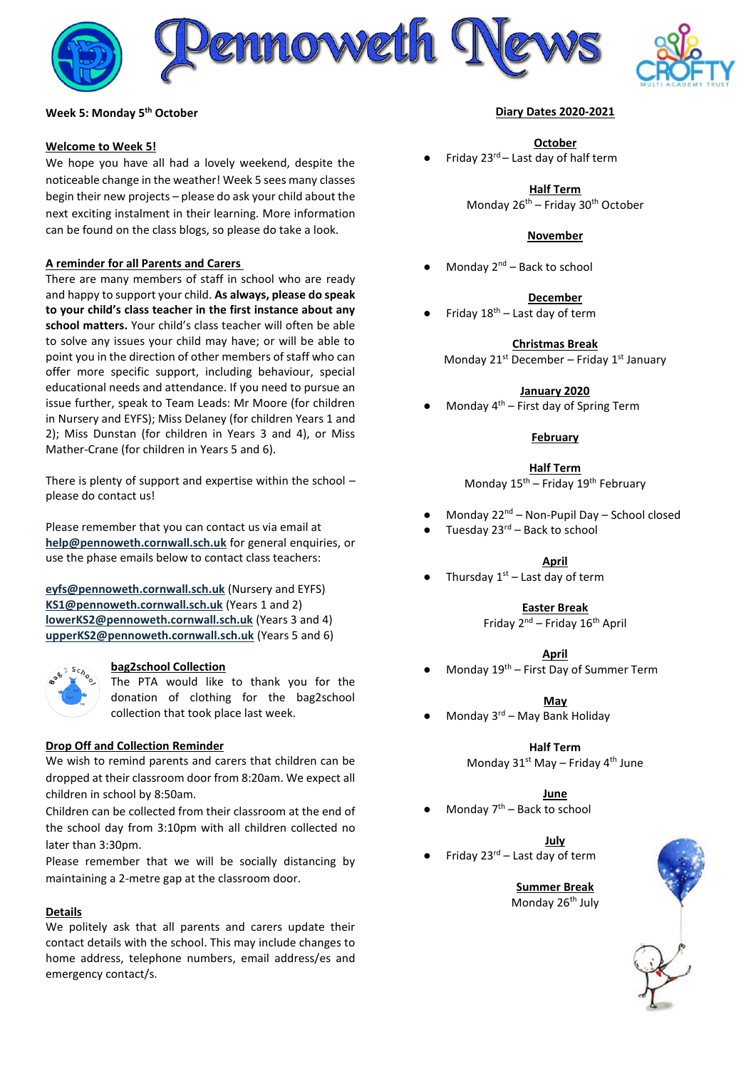





### **Week 5: Monday 5 th October**

#### **Welcome to Week 5!**

We hope you have all had a lovely weekend, despite the noticeable change in the weather! Week 5 sees many classes begin their new projects – please do ask your child about the next exciting instalment in their learning. More information can be found on the class blogs, so please do take a look.

### **A reminder for all Parents and Carers**

There are many members of staff in school who are ready and happy to support your child. **As always, please do speak to your child's class teacher in the first instance about any school matters.** Your child's class teacher will often be able to solve any issues your child may have; or will be able to point you in the direction of other members of staff who can offer more specific support, including behaviour, special educational needs and attendance. If you need to pursue an issue further, speak to Team Leads: Mr Moore (for children in Nursery and EYFS); Miss Delaney (for children Years 1 and 2); Miss Dunstan (for children in Years 3 and 4), or Miss Mather-Crane (for children in Years 5 and 6).

There is plenty of support and expertise within the school – please do contact us!

Please remember that you can contact us via email at **[help@pennoweth.cornwall.sch.uk](mailto:help@pennoweth.cornwall.sch.uk)** for general enquiries, or use the phase emails below to contact class teachers:

**[eyfs@pennoweth.cornwall.sch.uk](mailto:eyfs@pennoweth.cornwall.sch.uk)** (Nursery and EYFS) **[KS1@pennoweth.cornwall.sch.uk](mailto:KS1@pennoweth.cornwall.sch.uk)** (Years 1 and 2) **[lowerKS2@pennoweth.cornwall.sch.uk](mailto:lowerKS2@pennoweth.cornwall.sch.uk)** (Years 3 and 4) **[upperKS2@pennoweth.cornwall.sch.uk](mailto:upperKS2@pennoweth.cornwall.sch.uk)** (Years 5 and 6)



#### **bag2school Collection**

The PTA would like to thank you for the donation of clothing for the bag2school collection that took place last week.

# **Drop Off and Collection Reminder**

We wish to remind parents and carers that children can be dropped at their classroom door from 8:20am. We expect all children in school by 8:50am.

Children can be collected from their classroom at the end of the school day from 3:10pm with all children collected no later than 3:30pm.

Please remember that we will be socially distancing by maintaining a 2-metre gap at the classroom door.

# **Details**

We politely ask that all parents and carers update their contact details with the school. This may include changes to home address, telephone numbers, email address/es and emergency contact/s.

### **Diary Dates 2020-2021**

**October**

Friday  $23^{rd}$  – Last day of half term

**Half Term** Monday 26th – Friday 30th October

### **November**

Monday  $2^{nd}$  – Back to school

### **December**

Friday  $18<sup>th</sup>$  – Last day of term

**Christmas Break** Monday 21st December – Friday 1st January

### **January 2020**

Monday  $4<sup>th</sup>$  – First day of Spring Term

# **February**

**Half Term**

Monday  $15^{th}$  – Friday  $19^{th}$  February

- Monday 22<sup>nd</sup> Non-Pupil Day School closed
- Tuesday  $23<sup>rd</sup>$  Back to school

# **April**

Thursday  $1<sup>st</sup>$  – Last day of term

# **Easter Break**

Friday  $2^{nd}$  – Friday  $16^{th}$  April

#### **April**

Monday  $19<sup>th</sup>$  – First Day of Summer Term

**May**

Monday  $3^{rd}$  – May Bank Holiday

**Half Term** Monday  $31^{st}$  May – Friday  $4^{th}$  June

# **June**

Monday  $7<sup>th</sup>$  – Back to school

**July**

Friday 23 $^{rd}$  – Last day of term

**Summer Break** Monday 26<sup>th</sup> July

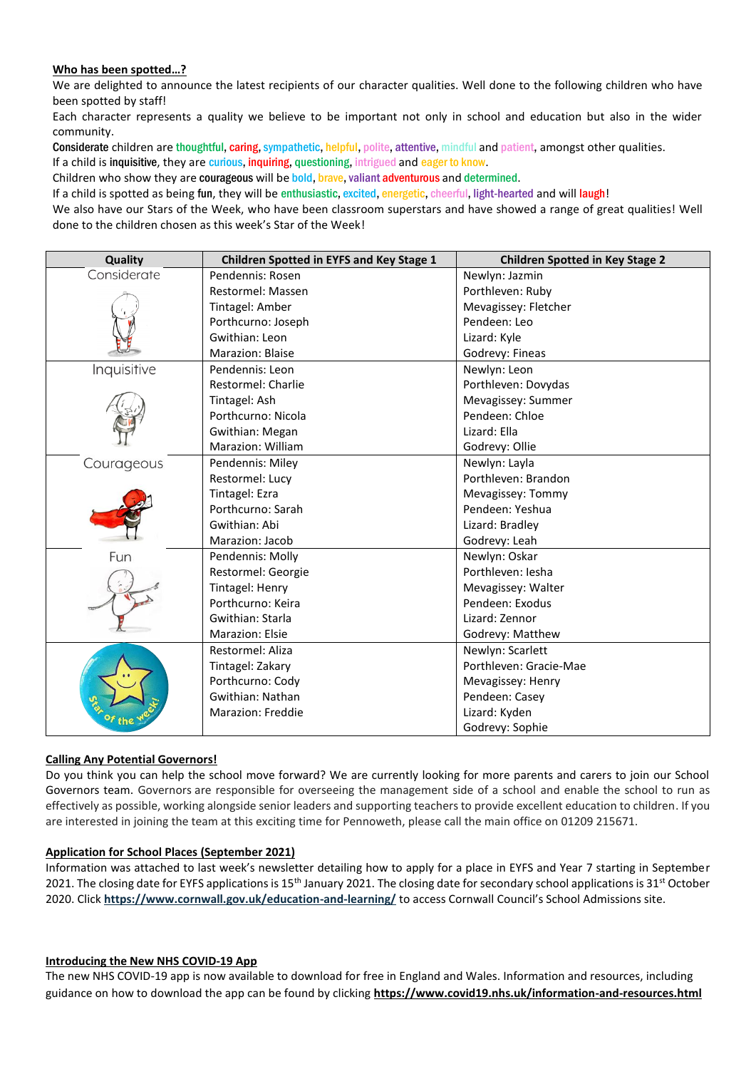# **Who has been spotted…?**

We are delighted to announce the latest recipients of our character qualities. Well done to the following children who have been spotted by staff!

Each character represents a quality we believe to be important not only in school and education but also in the wider community.

Considerate children are thoughtful, caring, sympathetic, helpful, polite, attentive, mindful and patient, amongst other qualities. If a child is inquisitive, they are curious, inquiring, questioning, intrigued and eager to know.

Children who show they are courageous will be bold, brave, valiant adventurous and determined.

If a child is spotted as being fun, they will be enthusiastic, excited, energetic, cheerful, light-hearted and will laugh!

We also have our Stars of the Week, who have been classroom superstars and have showed a range of great qualities! Well done to the children chosen as this week's Star of the Week!

| Quality     | Children Spotted in EYFS and Key Stage 1 | <b>Children Spotted in Key Stage 2</b> |
|-------------|------------------------------------------|----------------------------------------|
| Considerate | Pendennis: Rosen                         | Newlyn: Jazmin                         |
|             | Restormel: Massen                        | Porthleven: Ruby                       |
|             | Tintagel: Amber                          | Mevagissey: Fletcher                   |
|             | Porthcurno: Joseph                       | Pendeen: Leo                           |
|             | Gwithian: Leon                           | Lizard: Kyle                           |
|             | Marazion: Blaise                         | Godrevy: Fineas                        |
| Inquisitive | Pendennis: Leon                          | Newlyn: Leon                           |
|             | Restormel: Charlie                       | Porthleven: Dovydas                    |
|             | Tintagel: Ash                            | Mevagissey: Summer                     |
|             | Porthcurno: Nicola                       | Pendeen: Chloe                         |
|             | Gwithian: Megan                          | Lizard: Ella                           |
|             | <b>Marazion: William</b>                 | Godrevy: Ollie                         |
| Courageous  | Pendennis: Miley                         | Newlyn: Layla                          |
|             | Restormel: Lucy                          | Porthleven: Brandon                    |
|             | Tintagel: Ezra                           | Mevagissey: Tommy                      |
|             | Porthcurno: Sarah                        | Pendeen: Yeshua                        |
|             | Gwithian: Abi                            | Lizard: Bradley                        |
|             | Marazion: Jacob                          | Godrevy: Leah                          |
| Fun         | Pendennis: Molly                         | Newlyn: Oskar                          |
|             | Restormel: Georgie                       | Porthleven: Jesha                      |
|             | Tintagel: Henry                          | Mevagissey: Walter                     |
|             | Porthcurno: Keira                        | Pendeen: Exodus                        |
|             | Gwithian: Starla                         | Lizard: Zennor                         |
|             | Marazion: Elsie                          | Godrevy: Matthew                       |
| of the      | Restormel: Aliza                         | Newlyn: Scarlett                       |
|             | Tintagel: Zakary                         | Porthleven: Gracie-Mae                 |
|             | Porthcurno: Cody                         | Mevagissey: Henry                      |
|             | Gwithian: Nathan                         | Pendeen: Casey                         |
|             | Marazion: Freddie                        | Lizard: Kyden                          |
|             |                                          | Godrevy: Sophie                        |

# **Calling Any Potential Governors!**

Do you think you can help the school move forward? We are currently looking for more parents and carers to join our School Governors team. Governors are responsible for overseeing the management side of a school and enable the school to run as effectively as possible, working alongside senior leaders and supporting teachers to provide excellent education to children. If you are interested in joining the team at this exciting time for Pennoweth, please call the main office on 01209 215671.

# **Application for School Places (September 2021)**

Information was attached to last week's newsletter detailing how to apply for a place in EYFS and Year 7 starting in September 2021. The closing date for EYFS applications is 15<sup>th</sup> January 2021. The closing date for secondary school applications is 31<sup>st</sup> October 2020. Click **<https://www.cornwall.gov.uk/education-and-learning/>** to access Cornwall Council's School Admissions site.

# **Introducing the New NHS COVID-19 App**

The new NHS COVID-19 app is now available to download for free in England and Wales. Information and resources, including guidance on how to download the app can be found by clicking **<https://www.covid19.nhs.uk/information-and-resources.html>**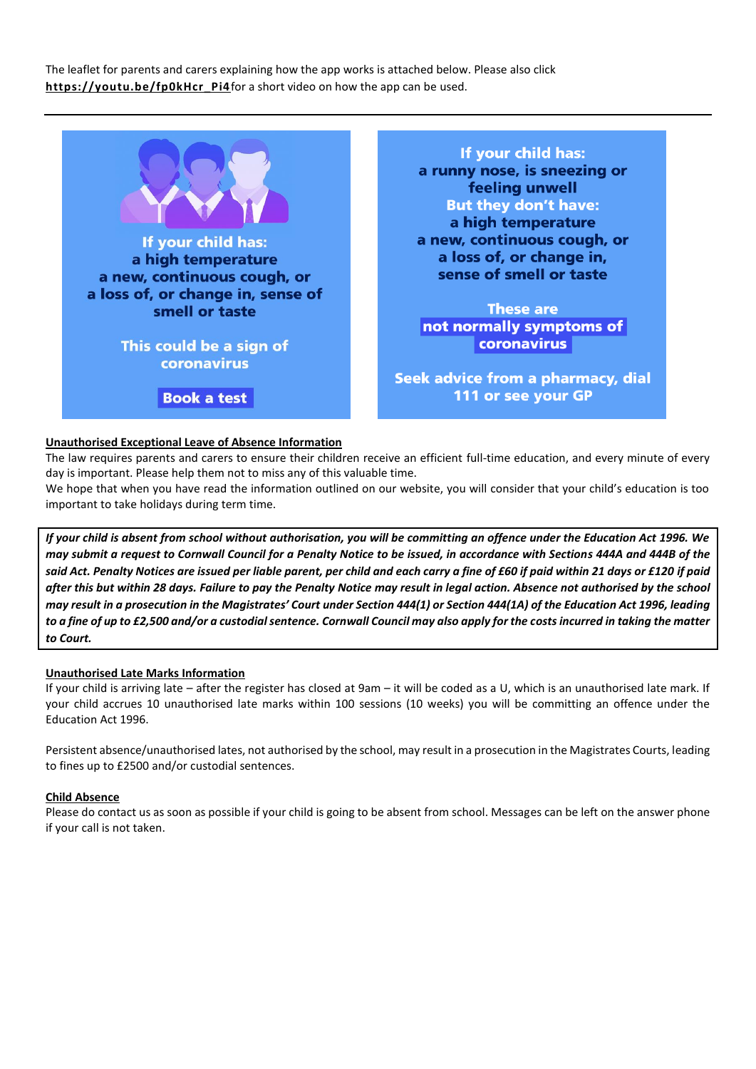The leaflet for parents and carers explaining how the app works is attached below. Please also click [https://youtu.be/fp0kHcr\\_Pi4](https://youtu.be/fp0kHcr_Pi4)for a short video on how the app can be used.



# **Unauthorised Exceptional Leave of Absence Information**

The law requires parents and carers to ensure their children receive an efficient full-time education, and every minute of every day is important. Please help them not to miss any of this valuable time.

We hope that when you have read the information outlined on our website, you will consider that your child's education is too important to take holidays during term time.

*If your child is absent from school without authorisation, you will be committing an offence under the Education Act 1996. We may submit a request to Cornwall Council for a Penalty Notice to be issued, in accordance with Sections 444A and 444B of the said Act. Penalty Notices are issued per liable parent, per child and each carry a fine of £60 if paid within 21 days or £120 if paid after this but within 28 days. Failure to pay the Penalty Notice may result in legal action. Absence not authorised by the school may result in a prosecution in the Magistrates' Court under Section 444(1) or Section 444(1A) of the Education Act 1996, leading to a fine of up to £2,500 and/or a custodial sentence. Cornwall Council may also apply for the costs incurred in taking the matter to Court.*

#### **Unauthorised Late Marks Information**

If your child is arriving late – after the register has closed at 9am – it will be coded as a U, which is an unauthorised late mark. If your child accrues 10 unauthorised late marks within 100 sessions (10 weeks) you will be committing an offence under the Education Act 1996.

Persistent absence/unauthorised lates, not authorised by the school, may result in a prosecution in the Magistrates Courts, leading to fines up to £2500 and/or custodial sentences.

#### **Child Absence**

Please do contact us as soon as possible if your child is going to be absent from school. Messages can be left on the answer phone if your call is not taken.